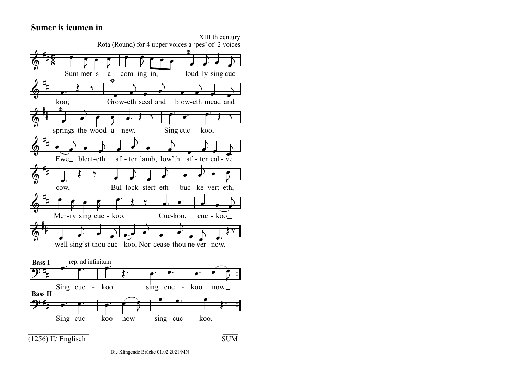## **Sumer is icumen in**

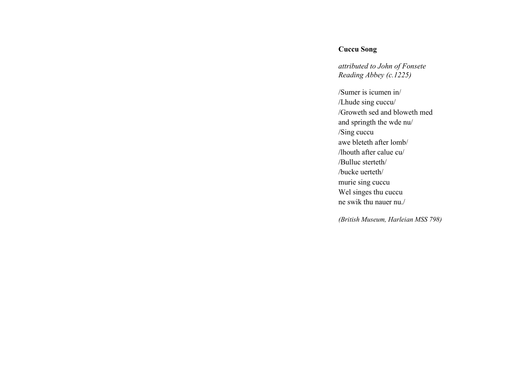## **Cuccu Song**

*attributed to John of Fonsete Reading Abbey (c.1225)* 

/Sumer is icumen in/ /Lhude sing cuccu/ /Groweth sed and bloweth med and springth the wde nu/ /Sing cuccu awe bleteth after lomb/ /lhouth after calue cu/ /Bulluc sterteth/ /bucke uerteth/ murie sing cuccu Wel singes thu cuccu ne swik thu nauer nu./

*(British Museum, Harleian MSS 798)*